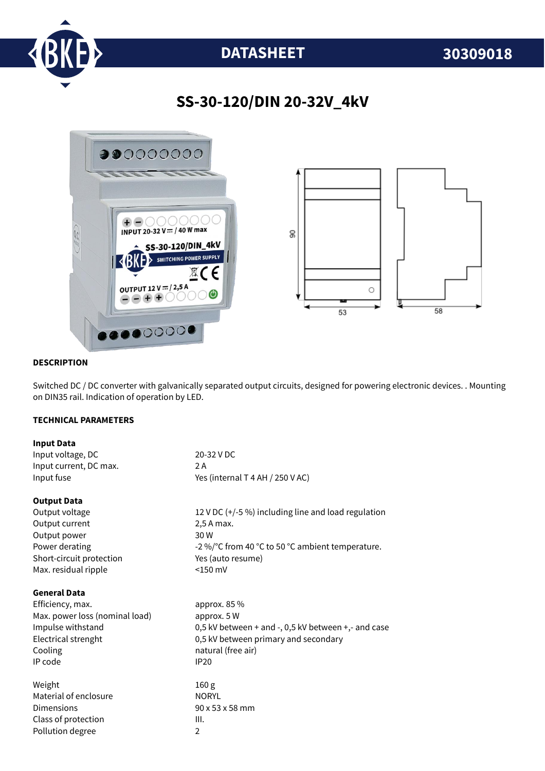

# **DATASHEET 30309018**

## **SS-30-120/DIN 20-32V\_4kV**



#### **DESCRIPTION**

Switched DC / DC converter with galvanically separated output circuits, designed for powering electronic devices. . Mounting on DIN35 rail. Indication of operation by LED.

#### **TECHNICAL PARAMETERS**

| <b>Input Data</b>              |                                                      |
|--------------------------------|------------------------------------------------------|
| Input voltage, DC              | 20-32 V DC                                           |
| Input current, DC max.         | 2 A                                                  |
| Input fuse                     | Yes (internal T 4 AH / 250 V AC)                     |
| <b>Output Data</b>             |                                                      |
| Output voltage                 | 12 V DC $(+/-5%)$ including line and load regulation |
| Output current                 | 2,5 A max.                                           |
| Output power                   | 30 W                                                 |
| Power derating                 | -2 %/°C from 40 °C to 50 °C ambient temperature.     |
| Short-circuit protection       | Yes (auto resume)                                    |
| Max. residual ripple           | $<$ 150 mV                                           |
| <b>General Data</b>            |                                                      |
| Efficiency, max.               | approx. 85 %                                         |
| Max. power loss (nominal load) | approx. 5 W                                          |
| Impulse withstand              | 0,5 kV between + and -, 0,5 kV between +,- and case  |
| Electrical strenght            | 0,5 kV between primary and secondary                 |
| Cooling                        | natural (free air)                                   |
| IP code                        | <b>IP20</b>                                          |
| Weight                         | 160 <sub>g</sub>                                     |
| Material of enclosure          | <b>NORYL</b>                                         |
| Dimensions                     | 90 x 53 x 58 mm                                      |
| Class of protection            | III.                                                 |
| Pollution degree               | $\overline{2}$                                       |
|                                |                                                      |